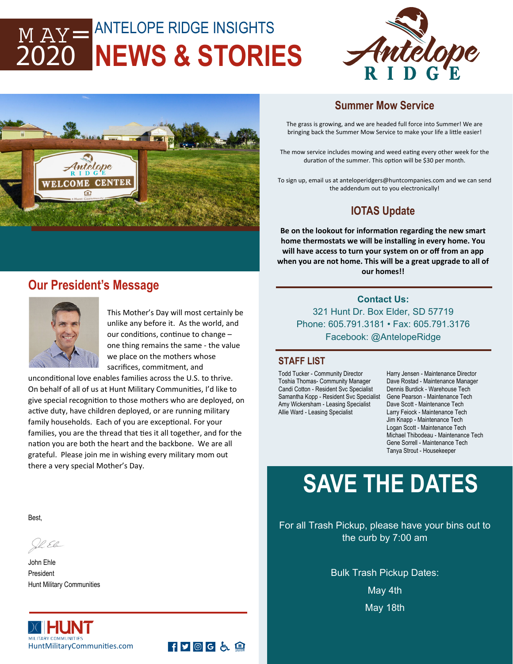## ANTELOPE RIDGE INSIGHTS **NEWS & STORIES**   $M AY =$ 2020





### **Summer Mow Service**

The grass is growing, and we are headed full force into Summer! We are bringing back the Summer Mow Service to make your life a little easier!

The mow service includes mowing and weed eating every other week for the duration of the summer. This option will be \$30 per month.

To sign up, email us at anteloperidgers@huntcompanies.com and we can send the addendum out to you electronically!

## **IOTAS Update**

**Be on the lookout for informaƟon regarding the new smart home thermostats we will be installing in every home. You will have access to turn your system on or off from an app when you are not home. This will be a great upgrade to all of our homes!!** 

## **Our President's Message**



This Mother's Day will most certainly be unlike any before it. As the world, and our conditions, continue to change one thing remains the same ‐ the value we place on the mothers whose sacrifices, commitment, and

unconditional love enables families across the U.S. to thrive. On behalf of all of us at Hunt Military Communities, I'd like to give special recognition to those mothers who are deployed, on active duty, have children deployed, or are running military family households. Each of you are exceptional. For your families, you are the thread that ties it all together, and for the nation you are both the heart and the backbone. We are all grateful. Please join me in wishing every military mom out there a very special Mother's Day.

**Contact Us:**  321 Hunt Dr. Box Elder, SD 57719 Phone: 605.791.3181 • Fax: 605.791.3176 Facebook: @AntelopeRidge

#### **STAFF LIST**

Todd Tucker - Community Director Toshia Thomas- Community Manager Candi Cotton - Resident Svc Specialist Samantha Kopp - Resident Svc Specialist Amy Wickersham - Leasing Specialist Allie Ward - Leasing Specialist

Harry Jensen - Maintenance Director Dave Rostad - Maintenance Manager Dennis Burdick - Warehouse Tech Gene Pearson - Maintenance Tech Dave Scott - Maintenance Tech Larry Feiock - Maintenance Tech Jim Knapp - Maintenance Tech Logan Scott - Maintenance Tech Michael Thibodeau - Maintenance Tech Gene Sorrell - Maintenance Tech Tanya Strout - Housekeeper

## **SAVE THE DATES**

For all Trash Pickup, please have your bins out to the curb by 7:00 am

> Bulk Trash Pickup Dates: May 4th May 18th

Best,

Ih El

John Ehle President Hunt Military Communities